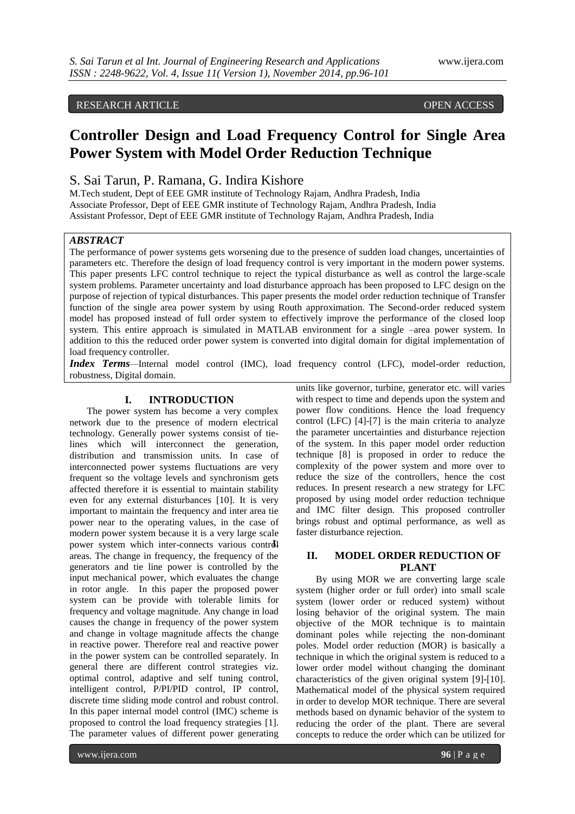## RESEARCH ARTICLE OPEN ACCESS

# **Controller Design and Load Frequency Control for Single Area Power System with Model Order Reduction Technique**

## S. Sai Tarun, P. Ramana, G. Indira Kishore

M.Tech student, Dept of EEE GMR institute of Technology Rajam, Andhra Pradesh, India Associate Professor, Dept of EEE GMR institute of Technology Rajam, Andhra Pradesh, India Assistant Professor, Dept of EEE GMR institute of Technology Rajam, Andhra Pradesh, India

#### *ABSTRACT*

The performance of power systems gets worsening due to the presence of sudden load changes, uncertainties of parameters etc. Therefore the design of load frequency control is very important in the modern power systems. This paper presents LFC control technique to reject the typical disturbance as well as control the large-scale system problems. Parameter uncertainty and load disturbance approach has been proposed to LFC design on the purpose of rejection of typical disturbances. This paper presents the model order reduction technique of Transfer function of the single area power system by using Routh approximation. The Second-order reduced system model has proposed instead of full order system to effectively improve the performance of the closed loop system. This entire approach is simulated in MATLAB environment for a single –area power system. In addition to this the reduced order power system is converted into digital domain for digital implementation of load frequency controller.

*Index Terms—*Internal model control (IMC), load frequency control (LFC), model-order reduction, robustness, Digital domain.

#### **I. INTRODUCTION**

The power system has become a very complex network due to the presence of modern electrical technology. Generally power systems consist of tielines which will interconnect the generation, distribution and transmission units. In case of interconnected power systems fluctuations are very frequent so the voltage levels and synchronism gets affected therefore it is essential to maintain stability even for any external disturbances [10]. It is very important to maintain the frequency and inter area tie power near to the operating values, in the case of modern power system because it is a very large scale power system which inter-connects various controll areas. The change in frequency, the frequency of the generators and tie line power is controlled by the input mechanical power, which evaluates the change in rotor angle. In this paper the proposed power system can be provide with tolerable limits for frequency and voltage magnitude. Any change in load causes the change in frequency of the power system and change in voltage magnitude affects the change in reactive power. Therefore real and reactive power in the power system can be controlled separately. In general there are different control strategies viz. optimal control, adaptive and self tuning control, intelligent control, P/PI/PID control, IP control, discrete time sliding mode control and robust control. In this paper internal model control (IMC) scheme is proposed to control the load frequency strategies [1]. The parameter values of different power generating

units like governor, turbine, generator etc. will varies with respect to time and depends upon the system and power flow conditions. Hence the load frequency control (LFC) [4]-[7] is the main criteria to analyze the parameter uncertainties and disturbance rejection of the system. In this paper model order reduction technique [8] is proposed in order to reduce the complexity of the power system and more over to reduce the size of the controllers, hence the cost reduces. In present research a new strategy for LFC proposed by using model order reduction technique and IMC filter design. This proposed controller brings robust and optimal performance, as well as faster disturbance rejection.

#### **II. MODEL ORDER REDUCTION OF PLANT**

By using MOR we are converting large scale system (higher order or full order) into small scale system (lower order or reduced system) without losing behavior of the original system. The main objective of the MOR technique is to maintain dominant poles while rejecting the non-dominant poles. Model order reduction (MOR) is basically a technique in which the original system is reduced to a lower order model without changing the dominant characteristics of the given original system [9]-[10]. Mathematical model of the physical system required in order to develop MOR technique. There are several methods based on dynamic behavior of the system to reducing the order of the plant. There are several concepts to reduce the order which can be utilized for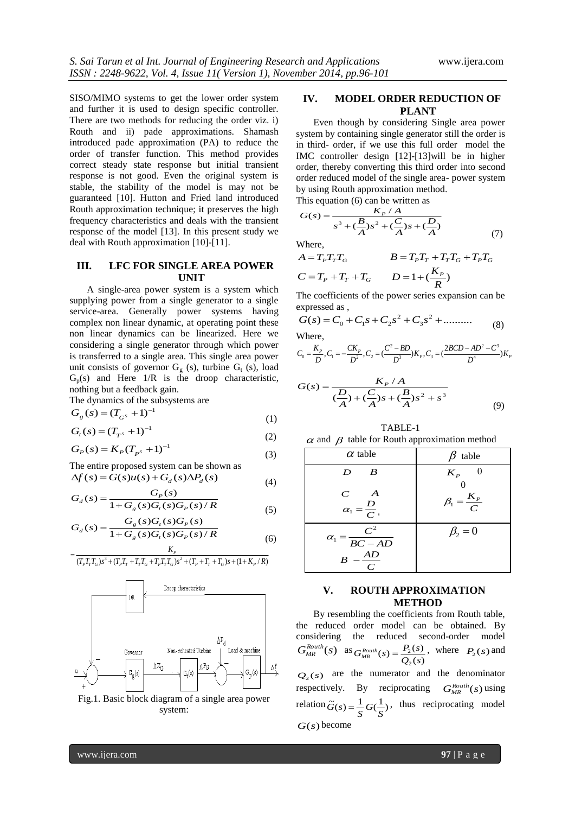SISO/MIMO systems to get the lower order system and further it is used to design specific controller. There are two methods for reducing the order viz. i) Routh and ii) pade approximations. Shamash introduced pade approximation (PA) to reduce the order of transfer function. This method provides correct steady state response but initial transient response is not good. Even the original system is stable, the stability of the model is may not be guaranteed [10]. Hutton and Fried land introduced Routh approximation technique; it preserves the high frequency characteristics and deals with the transient response of the model [13]. In this present study we deal with Routh approximation [10]-[11].

#### **III. LFC FOR SINGLE AREA POWER UNIT**

A single-area power system is a system which supplying power from a single generator to a single service-area. Generally power systems having complex non linear dynamic, at operating point these non linear dynamics can be linearized. Here we considering a single generator through which power is transferred to a single area. This single area power unit consists of governor  $G_g$  (s), turbine  $G_t$  (s), load  $G_p(s)$  and Here  $1/R$  is the droop characteristic, nothing but a feedback gain.

The dynamics of the subsystems are

$$
G_g(s) = (T_{G^s} + 1)^{-1}
$$
 (1)

$$
G_t(s) = (T_{T^s} + 1)^{-1}
$$
 (2)

$$
G_P(s) = K_P (T_{P^s} + 1)^{-1}
$$
\n(3)

The entire proposed system can be shown as  $\Delta f(s) = G(s)u(s) + G<sub>d</sub>(s)\Delta P<sub>d</sub>(s)$ 

$$
G_d(s) = \frac{G_p(s)}{1 + G_g(s)G_f(s)G_p(s)/R}
$$
 (5)

$$
G_d(s) = \frac{G_g(s)G_t(s)G_p(s)}{1 + G_s(s)G_t(s)G_p(s)}
$$
(5)

$$
G_d(s) = \frac{1 + G_s(s)G_t(s)G_p(s)/R}{1 + G_s(s)G_f(s)/R}
$$
 (6)

$$
= \frac{P}{(T_p T_T T_G) s^3 + (T_p T_T + T_T T_G + T_p T_T T_G) s^2 + (T_p + T_T + T_G) s + (1 + K_p/R)}
$$



Fig.1. Basic block diagram of a single area power system:

#### **IV. MODEL ORDER REDUCTION OF PLANT**

Even though by considering Single area power system by containing single generator still the order is in third- order, if we use this full order model the IMC controller design [12]-[13]will be in higher order, thereby converting this third order into second order reduced model of the single area- power system by using Routh approximation method. This equation (6) can be written as

$$
G(s) = \frac{K_P / A}{s^3 + (\frac{B}{A})s^2 + (\frac{C}{A})s + (\frac{D}{A})}
$$
(7)

Where,

(4)

$$
A = TPTTTG
$$
  
\n
$$
B = TPTT + TTTG + TPTG
$$
  
\n
$$
C = TP + TT + TG
$$
  
\n
$$
D = 1 + (\frac{KP}{R})
$$

The coefficients of the power series expansion can be expressed as ,

$$
G(s) = C_0 + C_1 s + C_2 s^2 + C_3 s^2 + \dots \dots \dots \tag{8}
$$
  
Where.

$$
C_0 = \frac{K_p}{D}, C_1 = -\frac{CK_p}{D^2}, C_2 = \left(\frac{C^2 - BD}{D^3}\right)K_p, C_3 = \left(\frac{2BCD - AD^2 - C^3}{D^4}\right)K_p
$$

$$
G(s) = \frac{K_P/A}{(\frac{D}{A}) + (\frac{C}{A})s + (\frac{B}{A})s^2 + s^3}
$$
(9)

TABLE-1  $\alpha$  and  $\beta$  table for Routh approximation method

| $\alpha$ table                                                       | table                     |
|----------------------------------------------------------------------|---------------------------|
| $\boldsymbol{B}$<br>D                                                | $K_{P}$                   |
| $\boldsymbol{A}$<br>$\overline{C}$<br>$\alpha_1 = \frac{D}{C}$       | $\beta_1 = \frac{K_P}{C}$ |
| $\frac{C^2}{BC - AD}$<br>$\alpha_{1}$ =<br>AD<br>B<br>$\overline{C}$ | $\beta_2=0$               |

#### **V. ROUTH APPROXIMATION METHOD**

By resembling the coefficients from Routh table, the reduced order model can be obtained. By considering the reduced second-order model  $G_{MR}^{Routh}(s)$  as  $(s)$  $(s) = \frac{P_2(s)}{P_2(s)}$  $\overline{c}$  $G_{MR}^{Routh}(s) = \frac{P_2(s)}{Q_2(s)}$ , where  $P_2(s)$  and  $Q_2(s)$  are the numerator and the denominator respectively. By reciprocating  $G_{MR}^{Routh}(s)$  using relation  $\tilde{G}(s) = \frac{1}{s} G(\frac{1}{s})$  $\widetilde{G}(s) = \frac{1}{S} G(\frac{1}{S})$ , thus reciprocating model *G*(*s*) become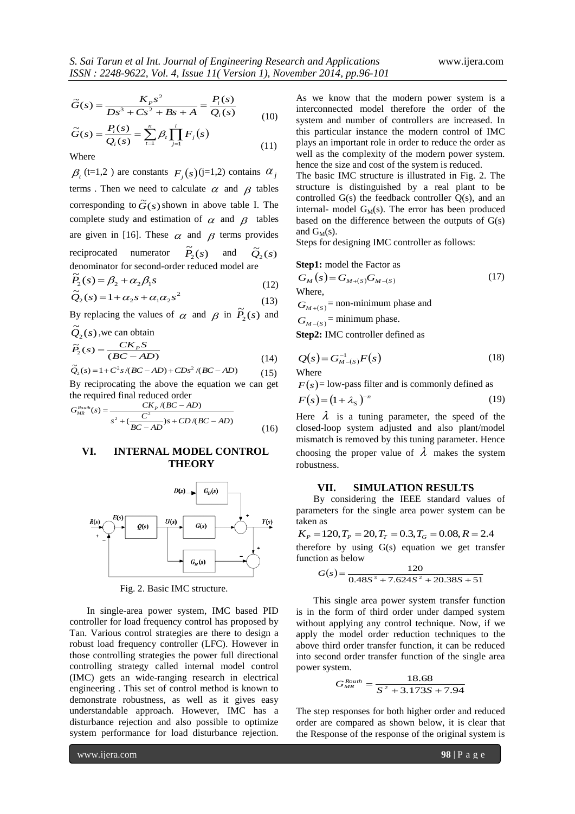$$
\widetilde{G}(s) = \frac{K_{P}s^{2}}{Ds^{3} + Cs^{2} + Bs + A} = \frac{P_{i}(s)}{Q_{i}(s)}
$$
\n(10)

$$
\widetilde{G}(s) = \frac{P_i(s)}{Q_i(s)} = \sum_{t=1}^n \beta_t \prod_{j=1}^i F_j(s)
$$
\n(11)

Where

 $\beta_t$  (t=1,2) are constants  $F_j(s)$  (j=1,2) contains  $\alpha_j$ terms. Then we need to calculate  $\alpha$  and  $\beta$  tables corresponding to  $\tilde{G}(s)$  shown in above table I. The complete study and estimation of  $\alpha$  and  $\beta$  tables are given in [16]. These  $\alpha$  and  $\beta$  terms provides reciprocated numerator  $\widetilde{P}_2(s)$  and  $\widetilde{Q}_2(s)$ denominator for second-order reduced model are<br> $\tilde{P}$  (c) =  $\theta + \alpha \theta$  s

$$
\widetilde{P}_2(s) = \beta_2 + \alpha_2 \beta_1 s \tag{12}
$$
\n
$$
\widetilde{P}_2(s) = 1 + \alpha_2 s + \alpha_3 s^2
$$

$$
\widetilde{Q}_2(s) = 1 + \alpha_2 s + \alpha_1 \alpha_2 s^2 \tag{13}
$$

By replacing the values of  $\alpha$  and  $\beta$  in  $\tilde{P}_2(s)$  and

$$
\widetilde{Q}_2(s)
$$
, we can obtain  
\n
$$
\widetilde{P}_2(s) = \frac{CK_p S}{(BC - AD)}
$$
\n(14)

$$
\tilde{Q}_2(s) = 1 + C^2 s / (BC - AD) + C D s^2 / (BC - AD) \tag{15}
$$

By reciprocating the above the equation we can get the required final reduced order

$$
G_{MR}^{Routh}(s) = \frac{CK_P/(BC - AD)}{s^2 + (\frac{C^2}{BC - AD})s + CD/(BC - AD)}
$$
(16)

### **VI. INTERNAL MODEL CONTROL THEORY**



Fig. 2. Basic IMC structure.

In single-area power system, IMC based PID controller for load frequency control has proposed by Tan. Various control strategies are there to design a robust load frequency controller (LFC). However in those controlling strategies the power full directional controlling strategy called internal model control (IMC) gets an wide-ranging research in electrical engineering . This set of control method is known to demonstrate robustness, as well as it gives easy understandable approach. However, IMC has a disturbance rejection and also possible to optimize system performance for load disturbance rejection.

As we know that the modern power system is a interconnected model therefore the order of the system and number of controllers are increased. In this particular instance the modern control of IMC plays an important role in order to reduce the order as well as the complexity of the modern power system. hence the size and cost of the system is reduced.

The basic IMC structure is illustrated in Fig. 2. The structure is distinguished by a real plant to be controlled G(s) the feedback controller Q(s), and an internal- model  $G_M(s)$ . The error has been produced based on the difference between the outputs of  $G(s)$ and  $G<sub>M</sub>(s)$ .

Steps for designing IMC controller as follows:

#### **Step1:** model the Factor as

$$
G_M(s) = G_{M+(s)}G_{M-(s)}
$$
\nWhere,

\n
$$
(17)
$$

 $G_{M+(S)}$  = non-minimum phase and

 $G_{M-(S)}$  = minimum phase.

**Step2:** IMC controller defined as

$$
Q(s) = G_{M-(s)}^{-1} F(s)
$$
\nWhere

\n
$$
(18)
$$

 $F(s)$ = low-pass filter and is commonly defined as

$$
F(s) = (1 + \lambda_s)^{-n} \tag{19}
$$

Here  $\lambda$  is a tuning parameter, the speed of the closed-loop system adjusted and also plant/model mismatch is removed by this tuning parameter. Hence

choosing the proper value of  $\lambda$  makes the system robustness.

#### **VII. SIMULATION RESULTS**

By considering the IEEE standard values of parameters for the single area power system can be taken as

$$
K_P = 120, T_P = 20, T_T = 0.3, T_G = 0.08, R = 2.4
$$
  
therefore by using G(s) equation we get transfer  
function as below

$$
G(s) = \frac{120}{0.48S^3 + 7.624S^2 + 20.38S + 51}
$$

This single area power system transfer function is in the form of third order under damped system without applying any control technique. Now, if we apply the model order reduction techniques to the above third order transfer function, it can be reduced into second order transfer function of the single area power system.

$$
G_{MR}^{Round} = \frac{18.68}{S^2 + 3.173S + 7.94}
$$

The step responses for both higher order and reduced order are compared as shown below, it is clear that the Response of the response of the original system is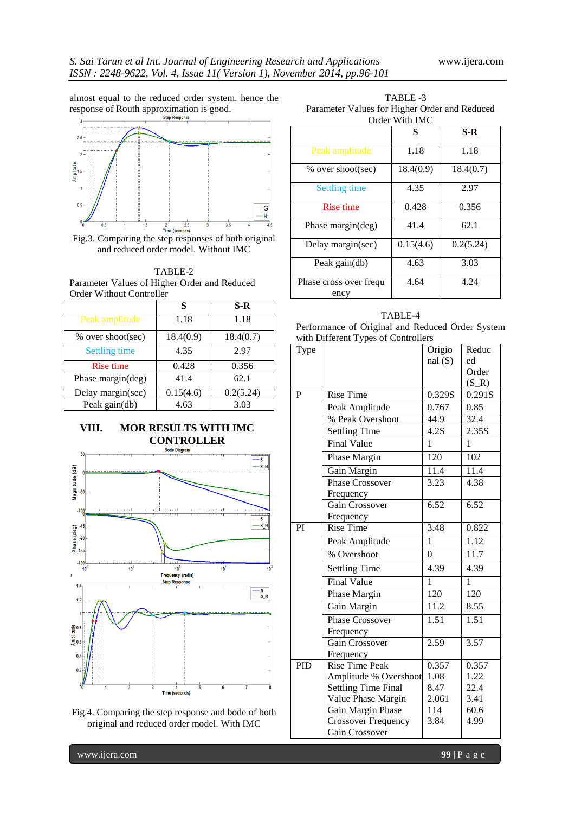almost equal to the reduced order system. hence the response of Routh approximation is good.



Fig.3. Comparing the step responses of both original and reduced order model. Without IMC

TABLE-2 Parameter Values of Higher Order and Reduced Order Without Controller

|                      | S         | $S-R$     |
|----------------------|-----------|-----------|
| Peak amplitude       | 1.18      | 1.18      |
| % over shoot(sec)    | 18.4(0.9) | 18.4(0.7) |
| <b>Settling time</b> | 4.35      | 2.97      |
| <b>Rise time</b>     | 0.428     | 0.356     |
| Phase margin(deg)    | 41.4      | 62.1      |
| Delay margin(sec)    | 0.15(4.6) | 0.2(5.24) |
| Peak gain(db)        | 4.63      | 3.03      |

# **VIII. MOR RESULTS WITH IMC CONTROLLER**



Fig.4. Comparing the step response and bode of both original and reduced order model. With IMC

 TABLE -3 Parameter Values for Higher Order and Reduced Order With IMC

|                                   | S         | $S-R$     |  |
|-----------------------------------|-----------|-----------|--|
| Peak amplitude                    | 1.18      | 1.18      |  |
| % over shoot(sec)                 | 18.4(0.9) | 18.4(0.7) |  |
| <b>Settling time</b>              | 4.35      | 2.97      |  |
| <b>Rise time</b>                  | 0.428     | 0.356     |  |
| Phase margin(deg)                 | 41.4      | 62.1      |  |
| Delay margin(sec)                 | 0.15(4.6) | 0.2(5.24) |  |
| Peak gain(db)                     | 4.63      | 3.03      |  |
| Phase cross over frequent<br>ency | 4.64      | 4.24      |  |

TABLE-4 Performance of Original and Reduced Order System with Different Types of Controllers

| Type | 1.1                        | Origio           | Reduc             |
|------|----------------------------|------------------|-------------------|
|      |                            | nal(S)           | ed                |
|      |                            |                  | Order             |
|      |                            |                  | $(S_R)$           |
| P    | <b>Rise Time</b>           | 0.329S           | 0.291S            |
|      | Peak Amplitude             | 0.767            | 0.85              |
|      | % Peak Overshoot           | 44.9             | 32.4              |
|      | <b>Settling Time</b>       | 4.2S             | 2.35S             |
|      | Final Value                | 1                | 1                 |
|      | Phase Margin               | $\overline{120}$ | 102               |
|      | Gain Margin                | 11.4             | 11.4              |
|      | Phase Crossover            | 3.23             | $\overline{4.38}$ |
|      | Frequency                  |                  |                   |
|      | Gain Crossover             | 6.52             | 6.52              |
|      | Frequency                  |                  |                   |
| PI   | <b>Rise Time</b>           | 3.48             | 0.822             |
|      | Peak Amplitude             | $\mathbf{1}$     | $\overline{1.12}$ |
|      | % Overshoot                | $\theta$         | 11.7              |
|      | <b>Settling Time</b>       | 4.39             | 4.39              |
|      | Final Value                | 1                | 1                 |
|      | Phase Margin               | 120              | 120               |
|      | Gain Margin                | 11.2             | 8.55              |
|      | <b>Phase Crossover</b>     | 1.51             | 1.51              |
|      | Frequency                  |                  |                   |
|      | Gain Crossover             | 2.59             | 3.57              |
|      | Frequency                  |                  |                   |
| PID  | <b>Rise Time Peak</b>      | 0.357            | 0.357             |
|      | Amplitude % Overshoot      | 1.08             | 1.22              |
|      | <b>Settling Time Final</b> | 8.47             | 22.4              |
|      | Value Phase Margin         | 2.061            | 3.41              |
|      | Gain Margin Phase          | 114              | 60.6              |
|      | <b>Crossover Frequency</b> | 3.84             | 4.99              |
|      | Gain Crossover             |                  |                   |

www.ijera.com **99** | P a g e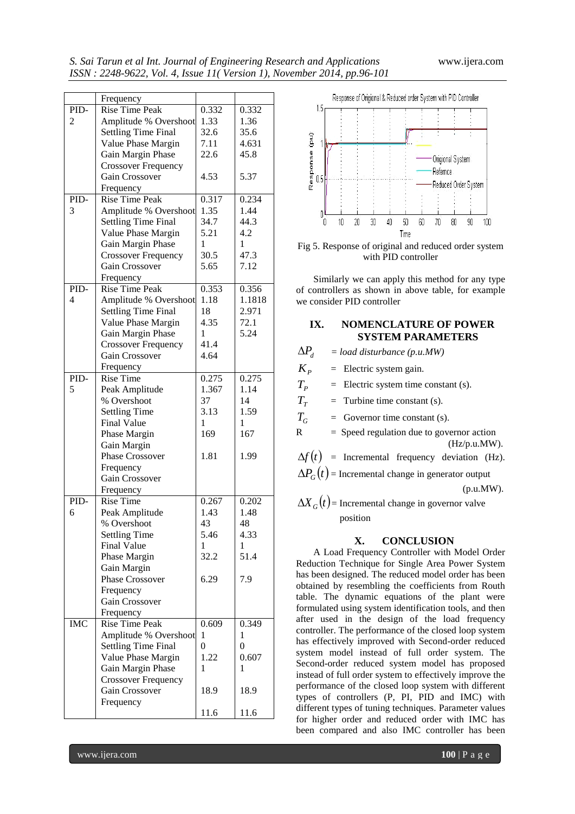|                | Frequency                  |                |                  |
|----------------|----------------------------|----------------|------------------|
| PID-           | <b>Rise Time Peak</b>      | 0.332          | 0.332            |
| $\overline{c}$ | Amplitude % Overshoot      | 1.33           | 1.36             |
|                | <b>Settling Time Final</b> | 32.6           | 35.6             |
|                | Value Phase Margin         | 7.11           | 4.631            |
|                | Gain Margin Phase          | 22.6           | 45.8             |
|                | <b>Crossover Frequency</b> |                |                  |
|                | Gain Crossover             | 4.53           | 5.37             |
|                | Frequency                  |                |                  |
| PID-           | <b>Rise Time Peak</b>      | 0.317          | 0.234            |
| 3              | Amplitude % Overshoot      | 1.35           | 1.44             |
|                | <b>Settling Time Final</b> | 34.7           | 44.3             |
|                |                            |                |                  |
|                | Value Phase Margin         | 5.21           | 4.2              |
|                | Gain Margin Phase          | 1              | 1                |
|                | <b>Crossover Frequency</b> | 30.5           | 47.3             |
|                | Gain Crossover             | 5.65           | 7.12             |
|                | Frequency                  |                |                  |
| PID-           | <b>Rise Time Peak</b>      | 0.353          | 0.356            |
| 4              | Amplitude % Overshoot      | 1.18           | 1.1818           |
|                | <b>Settling Time Final</b> | 18             | 2.971            |
|                | Value Phase Margin         | 4.35           | 72.1             |
|                | Gain Margin Phase          | 1              | 5.24             |
|                | <b>Crossover Frequency</b> | 41.4           |                  |
|                | Gain Crossover             | 4.64           |                  |
|                | Frequency                  |                |                  |
| PID-           | <b>Rise Time</b>           | 0.275          | 0.275            |
| 5              |                            | 1.367          | 1.14             |
|                | Peak Amplitude             |                |                  |
|                | % Overshoot                | 37             | 14               |
|                | <b>Settling Time</b>       | 3.13           | 1.59             |
|                | <b>Final Value</b>         | $\mathbf{1}$   | 1                |
|                | Phase Margin               | 169            | 167              |
|                | Gain Margin                |                |                  |
|                | <b>Phase Crossover</b>     | 1.81           | 1.99             |
|                | Frequency                  |                |                  |
|                | Gain Crossover             |                |                  |
|                | Frequency                  |                |                  |
| PID-           | <b>Rise Time</b>           | 0.267          | 0.202            |
| 6              | Peak Amplitude             | 1.43           | 1.48             |
|                | % Overshoot                | 43             | 48               |
|                | <b>Settling Time</b>       | 5.46           | 4.33             |
|                | <b>Final Value</b>         | 1              | 1                |
|                | Phase Margin               | 32.2           | 51.4             |
|                | Gain Margin                |                |                  |
|                |                            |                |                  |
|                | Phase Crossover            | 6.29           | 7.9              |
|                | Frequency                  |                |                  |
|                | Gain Crossover             |                |                  |
|                | Frequency                  |                |                  |
| <b>IMC</b>     | <b>Rise Time Peak</b>      | 0.609          | 0.349            |
|                | Amplitude % Overshoot      | 1              | 1                |
|                | <b>Settling Time Final</b> | $\overline{0}$ | $\boldsymbol{0}$ |
|                | Value Phase Margin         | 1.22           | 0.607            |
|                | Gain Margin Phase          | 1              | 1                |
|                | <b>Crossover Frequency</b> |                |                  |
|                | Gain Crossover             | 18.9           | 18.9             |
|                | Frequency                  |                |                  |
|                |                            |                |                  |
|                |                            | 11.6           | 11.6             |



Fig 5. Response of original and reduced order system with PID controller

Similarly we can apply this method for any type of controllers as shown in above table, for example we consider PID controller

#### **IX. NOMENCLATURE OF POWER SYSTEM PARAMETERS**

 $\Delta P$ <sub>d</sub> *= load disturbance (p.u.MW)*

- *K*<sup>*p*</sup> = Electric system gain.
- $T_{p}$ = Electric system time constant (s).
- *TT* = Turbine time constant (s).

 $T_G$  = Governor time constant (s).

 $R =$  Speed regulation due to governor action (Hz/p.u.MW).

 $\Delta f(t)$  = Incremental frequency deviation (Hz).

 $\Delta P_G(t)$  = Incremental change in generator output

(p.u.MW).

 $\Delta X_G(t)$  = Incremental change in governor valve position

### **X. CONCLUSION**

A Load Frequency Controller with Model Order Reduction Technique for Single Area Power System has been designed. The reduced model order has been obtained by resembling the coefficients from Routh table. The dynamic equations of the plant were formulated using system identification tools, and then after used in the design of the load frequency controller. The performance of the closed loop system has effectively improved with Second-order reduced system model instead of full order system. The Second-order reduced system model has proposed instead of full order system to effectively improve the performance of the closed loop system with different types of controllers (P, PI, PID and IMC) with different types of tuning techniques. Parameter values for higher order and reduced order with IMC has been compared and also IMC controller has been